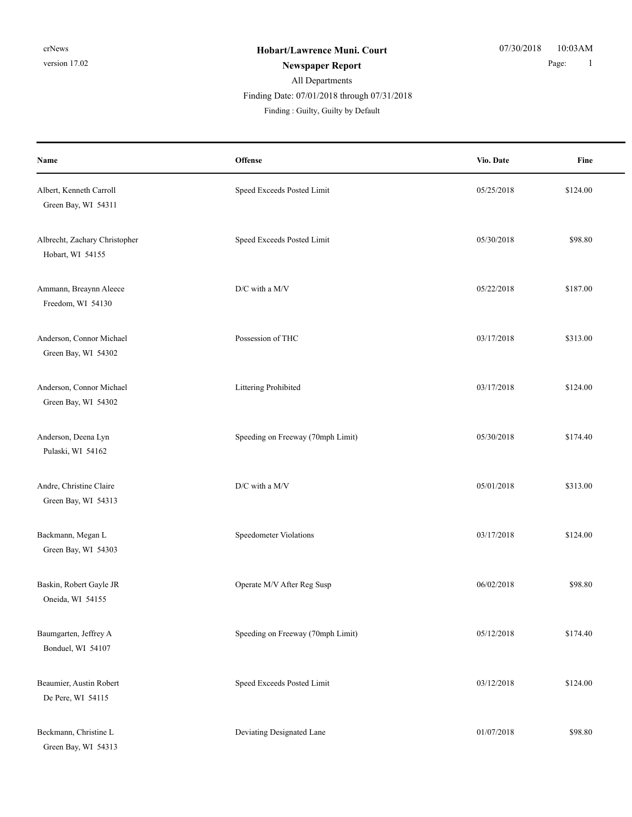| Name                                              | Offense                           | Vio. Date  | Fine     |
|---------------------------------------------------|-----------------------------------|------------|----------|
| Albert, Kenneth Carroll<br>Green Bay, WI 54311    | Speed Exceeds Posted Limit        | 05/25/2018 | \$124.00 |
| Albrecht, Zachary Christopher<br>Hobart, WI 54155 | Speed Exceeds Posted Limit        | 05/30/2018 | \$98.80  |
| Ammann, Breaynn Aleece<br>Freedom, WI 54130       | D/C with a M/V                    | 05/22/2018 | \$187.00 |
| Anderson, Connor Michael<br>Green Bay, WI 54302   | Possession of THC                 | 03/17/2018 | \$313.00 |
| Anderson, Connor Michael<br>Green Bay, WI 54302   | Littering Prohibited              | 03/17/2018 | \$124.00 |
| Anderson, Deena Lyn<br>Pulaski, WI 54162          | Speeding on Freeway (70mph Limit) | 05/30/2018 | \$174.40 |
| Andre, Christine Claire<br>Green Bay, WI 54313    | D/C with a M/V                    | 05/01/2018 | \$313.00 |
| Backmann, Megan L<br>Green Bay, WI 54303          | Speedometer Violations            | 03/17/2018 | \$124.00 |
| Baskin, Robert Gayle JR<br>Oneida, WI 54155       | Operate M/V After Reg Susp        | 06/02/2018 | \$98.80  |
| Baumgarten, Jeffrey A<br>Bonduel, WI 54107        | Speeding on Freeway (70mph Limit) | 05/12/2018 | \$174.40 |
| Beaumier, Austin Robert<br>De Pere, WI 54115      | Speed Exceeds Posted Limit        | 03/12/2018 | \$124.00 |
| Beckmann, Christine L<br>Green Bay, WI 54313      | Deviating Designated Lane         | 01/07/2018 | \$98.80  |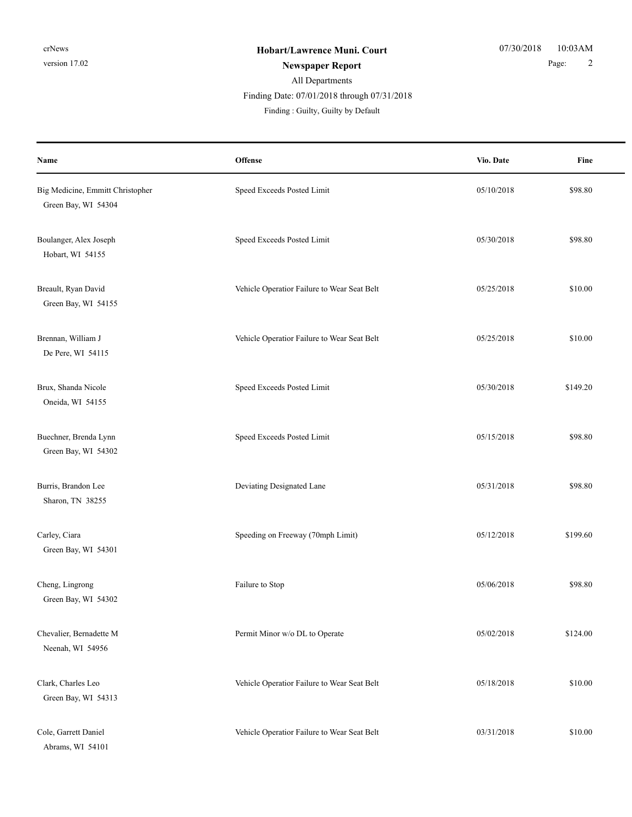| Name                                                    | Offense                                     | Vio. Date  | Fine     |
|---------------------------------------------------------|---------------------------------------------|------------|----------|
| Big Medicine, Emmitt Christopher<br>Green Bay, WI 54304 | Speed Exceeds Posted Limit                  | 05/10/2018 | \$98.80  |
| Boulanger, Alex Joseph<br>Hobart, WI 54155              | Speed Exceeds Posted Limit                  | 05/30/2018 | \$98.80  |
| Breault, Ryan David<br>Green Bay, WI 54155              | Vehicle Operatior Failure to Wear Seat Belt | 05/25/2018 | \$10.00  |
| Brennan, William J<br>De Pere, WI 54115                 | Vehicle Operatior Failure to Wear Seat Belt | 05/25/2018 | \$10.00  |
| Brux, Shanda Nicole<br>Oneida, WI 54155                 | Speed Exceeds Posted Limit                  | 05/30/2018 | \$149.20 |
| Buechner, Brenda Lynn<br>Green Bay, WI 54302            | Speed Exceeds Posted Limit                  | 05/15/2018 | \$98.80  |
| Burris, Brandon Lee<br>Sharon, TN 38255                 | Deviating Designated Lane                   | 05/31/2018 | \$98.80  |
| Carley, Ciara<br>Green Bay, WI 54301                    | Speeding on Freeway (70mph Limit)           | 05/12/2018 | \$199.60 |
| Cheng, Lingrong<br>Green Bay, WI 54302                  | Failure to Stop                             | 05/06/2018 | \$98.80  |
| Chevalier, Bernadette M<br>Neenah, WI 54956             | Permit Minor w/o DL to Operate              | 05/02/2018 | \$124.00 |
| Clark, Charles Leo<br>Green Bay, WI 54313               | Vehicle Operatior Failure to Wear Seat Belt | 05/18/2018 | \$10.00  |
| Cole, Garrett Daniel<br>Abrams, WI 54101                | Vehicle Operatior Failure to Wear Seat Belt | 03/31/2018 | \$10.00  |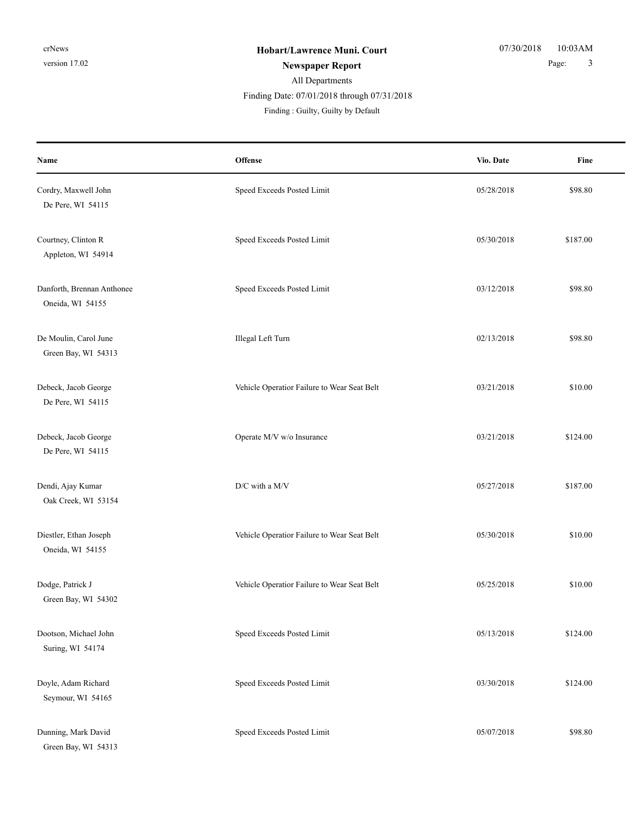| Name                                           | Offense                                     | Vio. Date  | Fine     |
|------------------------------------------------|---------------------------------------------|------------|----------|
| Cordry, Maxwell John<br>De Pere, WI 54115      | Speed Exceeds Posted Limit                  | 05/28/2018 | \$98.80  |
| Courtney, Clinton R<br>Appleton, WI 54914      | Speed Exceeds Posted Limit                  | 05/30/2018 | \$187.00 |
| Danforth, Brennan Anthonee<br>Oneida, WI 54155 | Speed Exceeds Posted Limit                  | 03/12/2018 | \$98.80  |
| De Moulin, Carol June<br>Green Bay, WI 54313   | Illegal Left Turn                           | 02/13/2018 | \$98.80  |
| Debeck, Jacob George<br>De Pere, WI 54115      | Vehicle Operatior Failure to Wear Seat Belt | 03/21/2018 | \$10.00  |
| Debeck, Jacob George<br>De Pere, WI 54115      | Operate M/V w/o Insurance                   | 03/21/2018 | \$124.00 |
| Dendi, Ajay Kumar<br>Oak Creek, WI 53154       | $\rm{D/C}$ with a M/V                       | 05/27/2018 | \$187.00 |
| Diestler, Ethan Joseph<br>Oneida, WI 54155     | Vehicle Operatior Failure to Wear Seat Belt | 05/30/2018 | \$10.00  |
| Dodge, Patrick J<br>Green Bay, WI 54302        | Vehicle Operatior Failure to Wear Seat Belt | 05/25/2018 | \$10.00  |
| Dootson, Michael John<br>Suring, WI 54174      | Speed Exceeds Posted Limit                  | 05/13/2018 | \$124.00 |
| Doyle, Adam Richard<br>Seymour, WI 54165       | Speed Exceeds Posted Limit                  | 03/30/2018 | \$124.00 |
| Dunning, Mark David<br>Green Bay, WI 54313     | Speed Exceeds Posted Limit                  | 05/07/2018 | \$98.80  |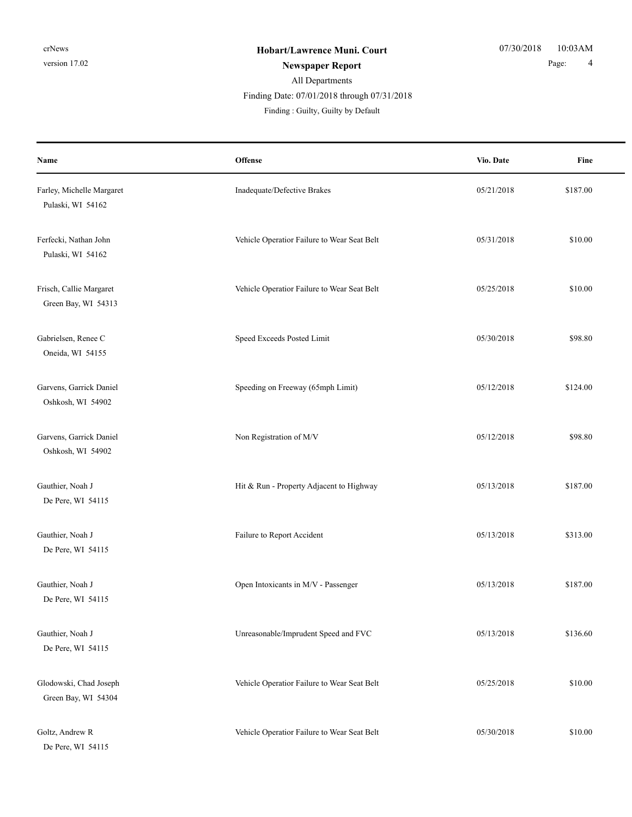| Name                                           | Offense                                     | Vio. Date  | Fine     |
|------------------------------------------------|---------------------------------------------|------------|----------|
| Farley, Michelle Margaret<br>Pulaski, WI 54162 | Inadequate/Defective Brakes                 | 05/21/2018 | \$187.00 |
| Ferfecki, Nathan John<br>Pulaski, WI 54162     | Vehicle Operatior Failure to Wear Seat Belt | 05/31/2018 | \$10.00  |
| Frisch, Callie Margaret<br>Green Bay, WI 54313 | Vehicle Operatior Failure to Wear Seat Belt | 05/25/2018 | \$10.00  |
| Gabrielsen, Renee C<br>Oneida, WI 54155        | Speed Exceeds Posted Limit                  | 05/30/2018 | \$98.80  |
| Garvens, Garrick Daniel<br>Oshkosh, WI 54902   | Speeding on Freeway (65mph Limit)           | 05/12/2018 | \$124.00 |
| Garvens, Garrick Daniel<br>Oshkosh, WI 54902   | Non Registration of M/V                     | 05/12/2018 | \$98.80  |
| Gauthier, Noah J<br>De Pere, WI 54115          | Hit & Run - Property Adjacent to Highway    | 05/13/2018 | \$187.00 |
| Gauthier, Noah J<br>De Pere, WI 54115          | Failure to Report Accident                  | 05/13/2018 | \$313.00 |
| Gauthier, Noah J<br>De Pere, WI 54115          | Open Intoxicants in M/V - Passenger         | 05/13/2018 | \$187.00 |
| Gauthier, Noah J<br>De Pere, WI 54115          | Unreasonable/Imprudent Speed and FVC        | 05/13/2018 | \$136.60 |
| Glodowski, Chad Joseph<br>Green Bay, WI 54304  | Vehicle Operatior Failure to Wear Seat Belt | 05/25/2018 | \$10.00  |
| Goltz, Andrew R<br>De Pere, WI 54115           | Vehicle Operatior Failure to Wear Seat Belt | 05/30/2018 | \$10.00  |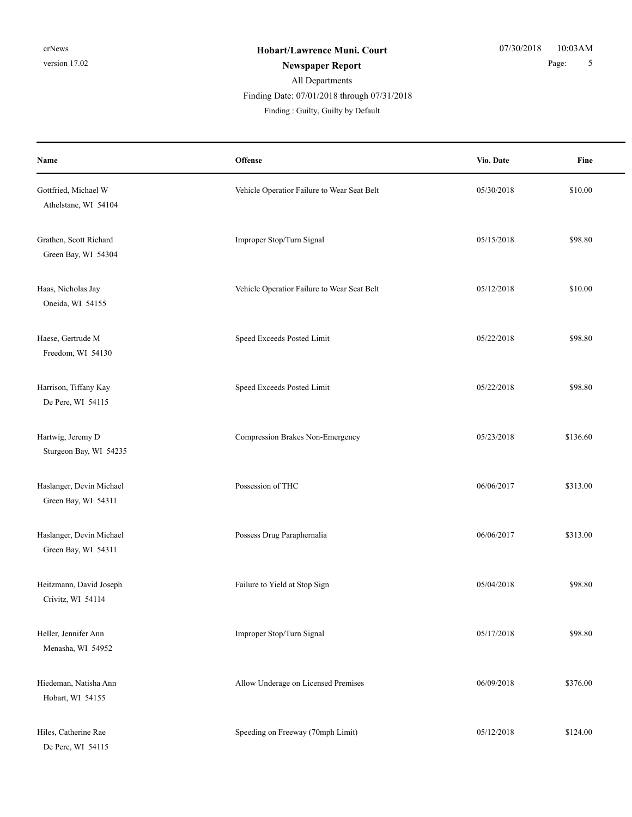| Name                                            | Offense                                     | Vio. Date  | Fine     |
|-------------------------------------------------|---------------------------------------------|------------|----------|
| Gottfried, Michael W<br>Athelstane, WI 54104    | Vehicle Operatior Failure to Wear Seat Belt | 05/30/2018 | \$10.00  |
| Grathen, Scott Richard<br>Green Bay, WI 54304   | Improper Stop/Turn Signal                   | 05/15/2018 | \$98.80  |
| Haas, Nicholas Jay<br>Oneida, WI 54155          | Vehicle Operatior Failure to Wear Seat Belt | 05/12/2018 | \$10.00  |
| Haese, Gertrude M<br>Freedom, WI 54130          | Speed Exceeds Posted Limit                  | 05/22/2018 | \$98.80  |
| Harrison, Tiffany Kay<br>De Pere, WI 54115      | Speed Exceeds Posted Limit                  | 05/22/2018 | \$98.80  |
| Hartwig, Jeremy D<br>Sturgeon Bay, WI 54235     | Compression Brakes Non-Emergency            | 05/23/2018 | \$136.60 |
| Haslanger, Devin Michael<br>Green Bay, WI 54311 | Possession of THC                           | 06/06/2017 | \$313.00 |
| Haslanger, Devin Michael<br>Green Bay, WI 54311 | Possess Drug Paraphernalia                  | 06/06/2017 | \$313.00 |
| Heitzmann, David Joseph<br>Crivitz, WI 54114    | Failure to Yield at Stop Sign               | 05/04/2018 | \$98.80  |
| Heller, Jennifer Ann<br>Menasha, WI 54952       | Improper Stop/Turn Signal                   | 05/17/2018 | \$98.80  |
| Hiedeman, Natisha Ann<br>Hobart, WI 54155       | Allow Underage on Licensed Premises         | 06/09/2018 | \$376.00 |
| Hiles, Catherine Rae<br>De Pere, WI 54115       | Speeding on Freeway (70mph Limit)           | 05/12/2018 | \$124.00 |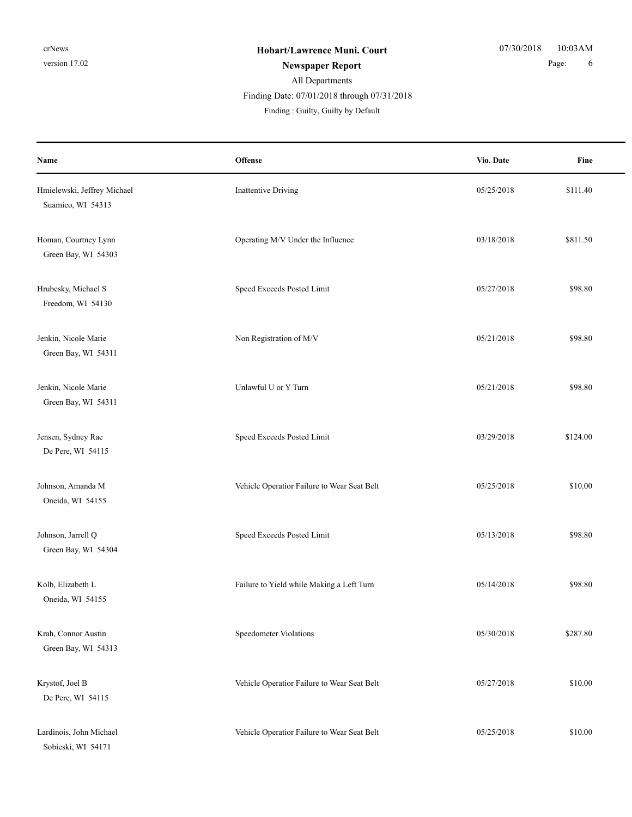| Name                                             | <b>Offense</b>                              | Vio. Date  | Fine     |
|--------------------------------------------------|---------------------------------------------|------------|----------|
| Hmielewski, Jeffrey Michael<br>Suamico, WI 54313 | Inattentive Driving                         | 05/25/2018 | \$111.40 |
| Homan, Courtney Lynn<br>Green Bay, WI 54303      | Operating M/V Under the Influence           | 03/18/2018 | \$811.50 |
| Hrubesky, Michael S<br>Freedom, WI 54130         | Speed Exceeds Posted Limit                  | 05/27/2018 | \$98.80  |
| Jenkin, Nicole Marie<br>Green Bay, WI 54311      | Non Registration of M/V                     | 05/21/2018 | \$98.80  |
| Jenkin, Nicole Marie<br>Green Bay, WI 54311      | Unlawful U or Y Turn                        | 05/21/2018 | \$98.80  |
| Jensen, Sydney Rae<br>De Pere, WI 54115          | Speed Exceeds Posted Limit                  | 03/29/2018 | \$124.00 |
| Johnson, Amanda M<br>Oneida, WI 54155            | Vehicle Operatior Failure to Wear Seat Belt | 05/25/2018 | \$10.00  |
| Johnson, Jarrell Q<br>Green Bay, WI 54304        | Speed Exceeds Posted Limit                  | 05/13/2018 | \$98.80  |
| Kolb, Elizabeth L<br>Oneida, WI 54155            | Failure to Yield while Making a Left Turn   | 05/14/2018 | \$98.80  |
| Krah, Connor Austin<br>Green Bay, WI 54313       | Speedometer Violations                      | 05/30/2018 | \$287.80 |
| Krystof, Joel B<br>De Pere, WI 54115             | Vehicle Operatior Failure to Wear Seat Belt | 05/27/2018 | \$10.00  |
| Lardinois, John Michael<br>Sobieski, WI 54171    | Vehicle Operatior Failure to Wear Seat Belt | 05/25/2018 | \$10.00  |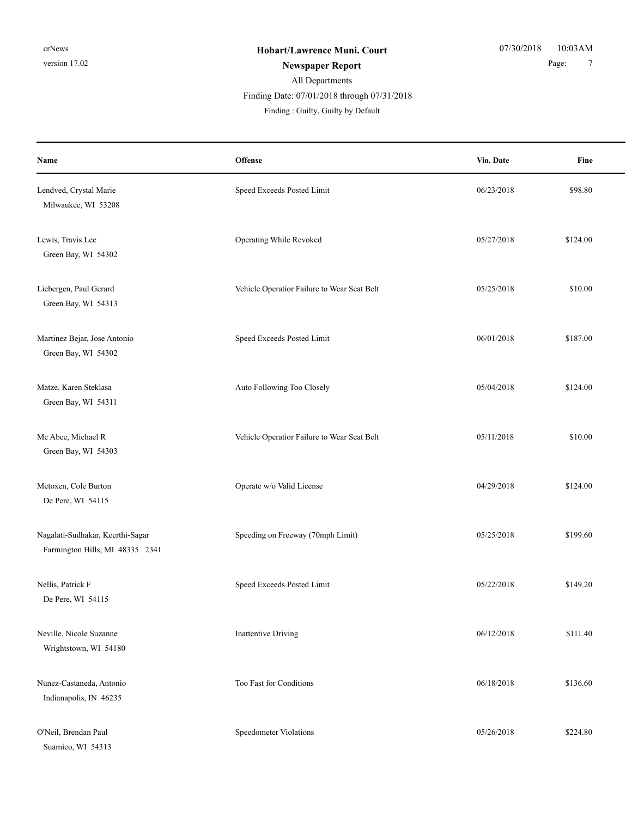| Name                                                                | Offense                                     | Vio. Date  | Fine     |
|---------------------------------------------------------------------|---------------------------------------------|------------|----------|
| Lendved, Crystal Marie<br>Milwaukee, WI 53208                       | Speed Exceeds Posted Limit                  | 06/23/2018 | \$98.80  |
| Lewis, Travis Lee<br>Green Bay, WI 54302                            | Operating While Revoked                     | 05/27/2018 | \$124.00 |
| Liebergen, Paul Gerard<br>Green Bay, WI 54313                       | Vehicle Operatior Failure to Wear Seat Belt | 05/25/2018 | \$10.00  |
| Martinez Bejar, Jose Antonio<br>Green Bay, WI 54302                 | Speed Exceeds Posted Limit                  | 06/01/2018 | \$187.00 |
| Matze, Karen Steklasa<br>Green Bay, WI 54311                        | Auto Following Too Closely                  | 05/04/2018 | \$124.00 |
| Mc Abee, Michael R<br>Green Bay, WI 54303                           | Vehicle Operatior Failure to Wear Seat Belt | 05/11/2018 | \$10.00  |
| Metoxen, Cole Burton<br>De Pere, WI 54115                           | Operate w/o Valid License                   | 04/29/2018 | \$124.00 |
| Nagalati-Sudhakar, Keerthi-Sagar<br>Farmington Hills, MI 48335 2341 | Speeding on Freeway (70mph Limit)           | 05/25/2018 | \$199.60 |
| Nellis, Patrick F<br>De Pere, WI 54115                              | Speed Exceeds Posted Limit                  | 05/22/2018 | \$149.20 |
| Neville, Nicole Suzanne<br>Wrightstown, WI 54180                    | <b>Inattentive Driving</b>                  | 06/12/2018 | \$111.40 |
| Nunez-Castaneda, Antonio<br>Indianapolis, IN 46235                  | Too Fast for Conditions                     | 06/18/2018 | \$136.60 |
| O'Neil, Brendan Paul<br>Suamico, WI 54313                           | Speedometer Violations                      | 05/26/2018 | \$224.80 |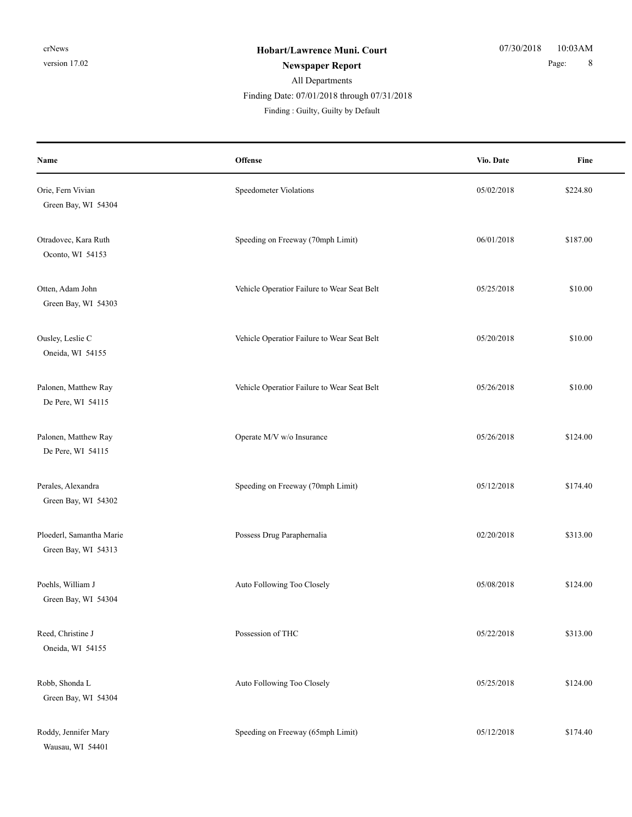# All Departments

Finding Date: 07/01/2018 through 07/31/2018

Finding : Guilty, Guilty by Default

| Name                                            | <b>Offense</b>                              | Vio. Date  | Fine     |
|-------------------------------------------------|---------------------------------------------|------------|----------|
| Orie, Fern Vivian<br>Green Bay, WI 54304        | Speedometer Violations                      | 05/02/2018 | \$224.80 |
| Otradovec, Kara Ruth<br>Oconto, WI 54153        | Speeding on Freeway (70mph Limit)           | 06/01/2018 | \$187.00 |
| Otten, Adam John<br>Green Bay, WI 54303         | Vehicle Operatior Failure to Wear Seat Belt | 05/25/2018 | \$10.00  |
| Ousley, Leslie C<br>Oneida, WI 54155            | Vehicle Operatior Failure to Wear Seat Belt | 05/20/2018 | \$10.00  |
| Palonen, Matthew Ray<br>De Pere, WI 54115       | Vehicle Operatior Failure to Wear Seat Belt | 05/26/2018 | \$10.00  |
| Palonen, Matthew Ray<br>De Pere, WI 54115       | Operate M/V w/o Insurance                   | 05/26/2018 | \$124.00 |
| Perales, Alexandra<br>Green Bay, WI 54302       | Speeding on Freeway (70mph Limit)           | 05/12/2018 | \$174.40 |
| Ploederl, Samantha Marie<br>Green Bay, WI 54313 | Possess Drug Paraphernalia                  | 02/20/2018 | \$313.00 |
| Poehls, William J<br>Green Bay, WI 54304        | Auto Following Too Closely                  | 05/08/2018 | \$124.00 |
| Reed, Christine J<br>Oneida, WI 54155           | Possession of THC                           | 05/22/2018 | \$313.00 |
| Robb, Shonda L<br>Green Bay, WI 54304           | Auto Following Too Closely                  | 05/25/2018 | \$124.00 |
| Roddy, Jennifer Mary<br>Wausau, WI 54401        | Speeding on Freeway (65mph Limit)           | 05/12/2018 | \$174.40 |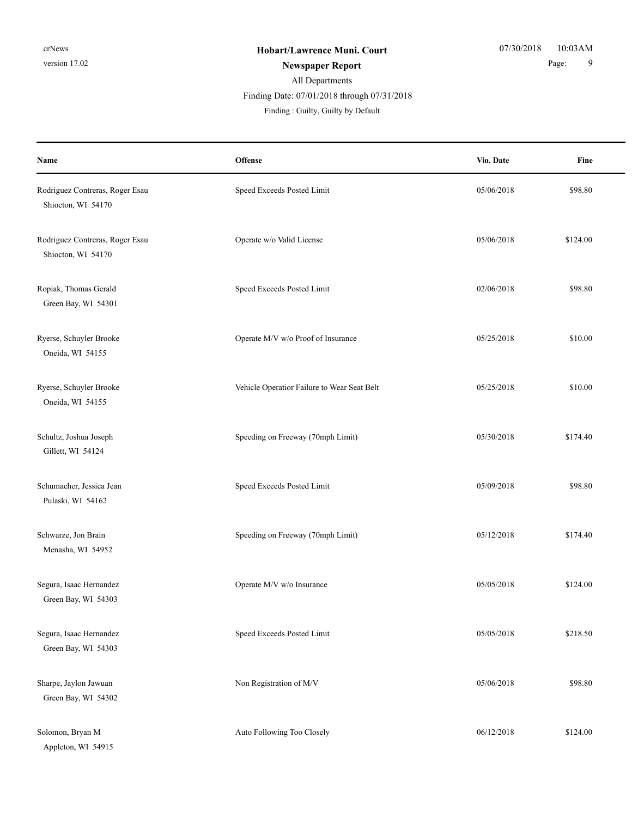| Name                                                  | Offense                                     | Vio. Date  | Fine     |
|-------------------------------------------------------|---------------------------------------------|------------|----------|
| Rodriguez Contreras, Roger Esau<br>Shiocton, WI 54170 | Speed Exceeds Posted Limit                  | 05/06/2018 | \$98.80  |
| Rodriguez Contreras, Roger Esau<br>Shiocton, WI 54170 | Operate w/o Valid License                   | 05/06/2018 | \$124.00 |
| Ropiak, Thomas Gerald<br>Green Bay, WI 54301          | Speed Exceeds Posted Limit                  | 02/06/2018 | \$98.80  |
| Ryerse, Schuyler Brooke<br>Oneida, WI 54155           | Operate M/V w/o Proof of Insurance          | 05/25/2018 | \$10.00  |
| Ryerse, Schuyler Brooke<br>Oneida, WI 54155           | Vehicle Operatior Failure to Wear Seat Belt | 05/25/2018 | \$10.00  |
| Schultz, Joshua Joseph<br>Gillett, WI 54124           | Speeding on Freeway (70mph Limit)           | 05/30/2018 | \$174.40 |
| Schumacher, Jessica Jean<br>Pulaski, WI 54162         | Speed Exceeds Posted Limit                  | 05/09/2018 | \$98.80  |
| Schwarze, Jon Brain<br>Menasha, WI 54952              | Speeding on Freeway (70mph Limit)           | 05/12/2018 | \$174.40 |
| Segura, Isaac Hernandez<br>Green Bay, WI 54303        | Operate M/V w/o Insurance                   | 05/05/2018 | \$124.00 |
| Segura, Isaac Hernandez<br>Green Bay, WI 54303        | Speed Exceeds Posted Limit                  | 05/05/2018 | \$218.50 |
| Sharpe, Jaylon Jawuan<br>Green Bay, WI 54302          | Non Registration of M/V                     | 05/06/2018 | \$98.80  |
| Solomon, Bryan M<br>Appleton, WI 54915                | Auto Following Too Closely                  | 06/12/2018 | \$124.00 |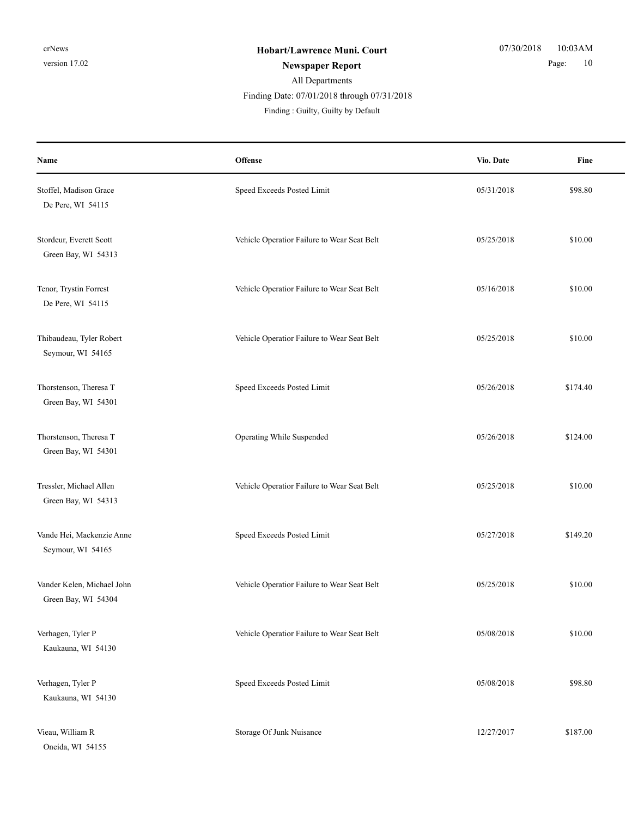| Name                                              | Offense                                     | Vio. Date  | Fine     |
|---------------------------------------------------|---------------------------------------------|------------|----------|
| Stoffel, Madison Grace<br>De Pere, WI 54115       | Speed Exceeds Posted Limit                  | 05/31/2018 | \$98.80  |
| Stordeur, Everett Scott<br>Green Bay, WI 54313    | Vehicle Operatior Failure to Wear Seat Belt | 05/25/2018 | \$10.00  |
| Tenor, Trystin Forrest<br>De Pere, WI 54115       | Vehicle Operatior Failure to Wear Seat Belt | 05/16/2018 | \$10.00  |
| Thibaudeau, Tyler Robert<br>Seymour, WI 54165     | Vehicle Operatior Failure to Wear Seat Belt | 05/25/2018 | \$10.00  |
| Thorstenson, Theresa T<br>Green Bay, WI 54301     | Speed Exceeds Posted Limit                  | 05/26/2018 | \$174.40 |
| Thorstenson, Theresa T<br>Green Bay, WI 54301     | Operating While Suspended                   | 05/26/2018 | \$124.00 |
| Tressler, Michael Allen<br>Green Bay, WI 54313    | Vehicle Operatior Failure to Wear Seat Belt | 05/25/2018 | \$10.00  |
| Vande Hei, Mackenzie Anne<br>Seymour, WI 54165    | Speed Exceeds Posted Limit                  | 05/27/2018 | \$149.20 |
| Vander Kelen, Michael John<br>Green Bay, WI 54304 | Vehicle Operatior Failure to Wear Seat Belt | 05/25/2018 | \$10.00  |
| Verhagen, Tyler P<br>Kaukauna, WI 54130           | Vehicle Operatior Failure to Wear Seat Belt | 05/08/2018 | \$10.00  |
| Verhagen, Tyler P<br>Kaukauna, WI 54130           | Speed Exceeds Posted Limit                  | 05/08/2018 | \$98.80  |
| Vieau, William R<br>Oneida, WI 54155              | Storage Of Junk Nuisance                    | 12/27/2017 | \$187.00 |